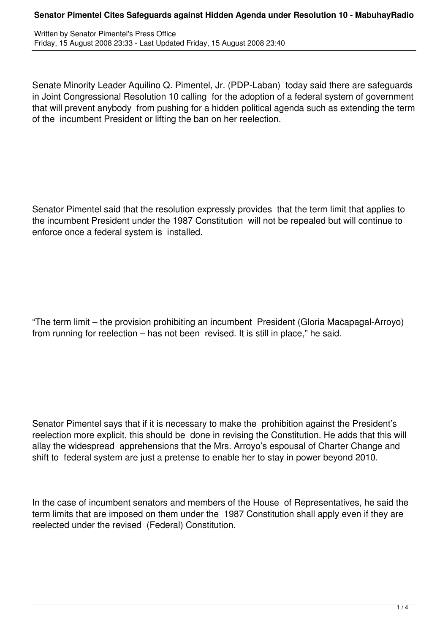Written by Senator Pimentel's Press Office Friday, 15 August 2008 23:33 - Last Updated Friday, 15 August 2008 23:40

Senate Minority Leader Aquilino Q. Pimentel, Jr. (PDP-Laban) today said there are safeguards in Joint Congressional Resolution 10 calling for the adoption of a federal system of government that will prevent anybody from pushing for a hidden political agenda such as extending the term of the incumbent President or lifting the ban on her reelection.

Senator Pimentel said that the resolution expressly provides that the term limit that applies to the incumbent President under the 1987 Constitution will not be repealed but will continue to enforce once a federal system is installed.

"The term limit – the provision prohibiting an incumbent President (Gloria Macapagal-Arroyo) from running for reelection – has not been revised. It is still in place," he said.

Senator Pimentel says that if it is necessary to make the prohibition against the President's reelection more explicit, this should be done in revising the Constitution. He adds that this will allay the widespread apprehensions that the Mrs. Arroyo's espousal of Charter Change and shift to federal system are just a pretense to enable her to stay in power beyond 2010.

In the case of incumbent senators and members of the House of Representatives, he said the term limits that are imposed on them under the 1987 Constitution shall apply even if they are reelected under the revised (Federal) Constitution.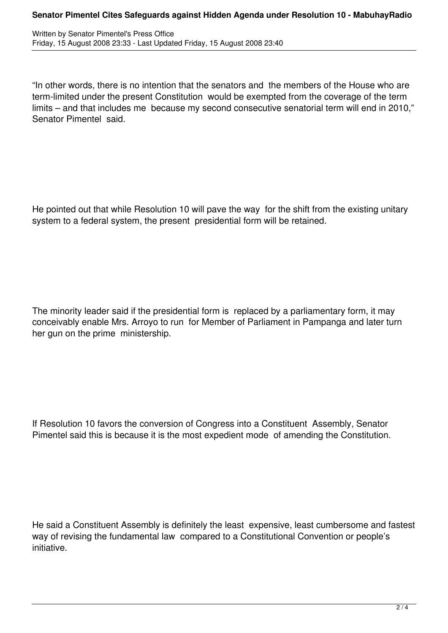## **Senator Pimentel Cites Safeguards against Hidden Agenda under Resolution 10 - MabuhayRadio**

"In other words, there is no intention that the senators and the members of the House who are term-limited under the present Constitution would be exempted from the coverage of the term limits – and that includes me because my second consecutive senatorial term will end in 2010," Senator Pimentel said.

He pointed out that while Resolution 10 will pave the way for the shift from the existing unitary system to a federal system, the present presidential form will be retained.

The minority leader said if the presidential form is replaced by a parliamentary form, it may conceivably enable Mrs. Arroyo to run for Member of Parliament in Pampanga and later turn her gun on the prime ministership.

If Resolution 10 favors the conversion of Congress into a Constituent Assembly, Senator Pimentel said this is because it is the most expedient mode of amending the Constitution.

He said a Constituent Assembly is definitely the least expensive, least cumbersome and fastest way of revising the fundamental law compared to a Constitutional Convention or people's initiative.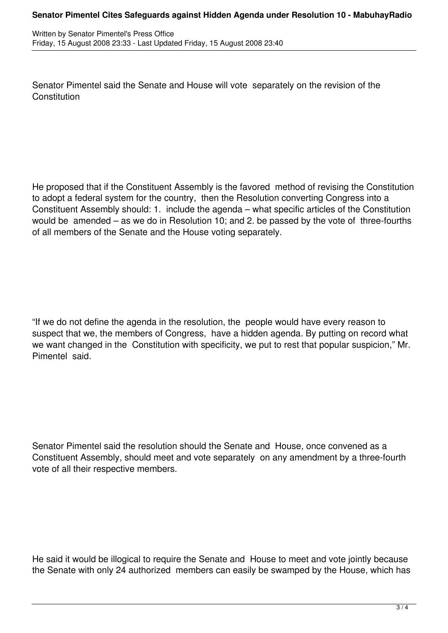Senator Pimentel said the Senate and House will vote separately on the revision of the **Constitution** 

He proposed that if the Constituent Assembly is the favored method of revising the Constitution to adopt a federal system for the country, then the Resolution converting Congress into a Constituent Assembly should: 1. include the agenda – what specific articles of the Constitution would be amended – as we do in Resolution 10; and 2. be passed by the vote of three-fourths of all members of the Senate and the House voting separately.

"If we do not define the agenda in the resolution, the people would have every reason to suspect that we, the members of Congress, have a hidden agenda. By putting on record what we want changed in the Constitution with specificity, we put to rest that popular suspicion," Mr. Pimentel said.

Senator Pimentel said the resolution should the Senate and House, once convened as a Constituent Assembly, should meet and vote separately on any amendment by a three-fourth vote of all their respective members.

He said it would be illogical to require the Senate and House to meet and vote jointly because the Senate with only 24 authorized members can easily be swamped by the House, which has